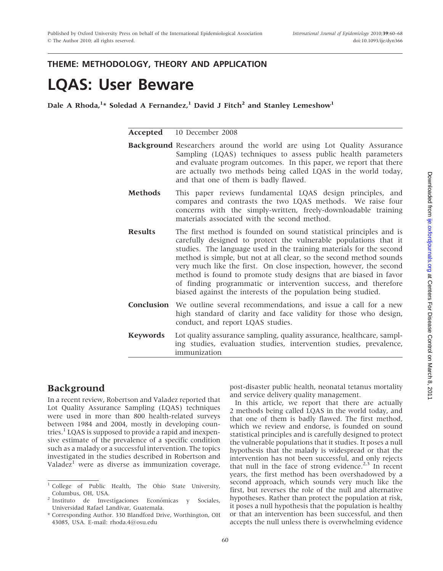## THEME: METHODOLOGY, THEORY AND APPLICATION

# LQAS: User Beware

Dale A Rhoda,<sup>1</sup>\* Soledad A Fernandez,<sup>1</sup> David J Fitch<sup>2</sup> and Stanley Lemeshow<sup>1</sup>

immunization

60

| Accepted | 10 December 2008 |  |
|----------|------------------|--|
|----------|------------------|--|

Background Researchers around the world are using Lot Quality Assurance Sampling (LQAS) techniques to assess public health parameters and evaluate program outcomes. In this paper, we report that there are actually two methods being called LQAS in the world today, and that one of them is badly flawed. Methods This paper reviews fundamental LQAS design principles, and compares and contrasts the two LQAS methods. We raise four concerns with the simply-written, freely-downloadable training materials associated with the second method. Results The first method is founded on sound statistical principles and is carefully designed to protect the vulnerable populations that it studies. The language used in the training materials for the second method is simple, but not at all clear, so the second method sounds very much like the first. On close inspection, however, the second method is found to promote study designs that are biased in favor of finding programmatic or intervention success, and therefore biased against the interests of the population being studied. Conclusion We outline several recommendations, and issue a call for a new high standard of clarity and face validity for those who design, conduct, and report LQAS studies. Keywords Lot quality assurance sampling, quality assurance, healthcare, sampling studies, evaluation studies, intervention studies, prevalence,

## **Background**

In a recent review, Robertson and Valadez reported that Lot Quality Assurance Sampling (LQAS) techniques were used in more than 800 health-related surveys between 1984 and 2004, mostly in developing countries.<sup>1</sup> LQAS is supposed to provide a rapid and inexpensive estimate of the prevalence of a specific condition such as a malady or a successful intervention. The topics investigated in the studies described in Robertson and Valadez<sup>1</sup> were as diverse as immunization coverage, post-disaster public health, neonatal tetanus mortality and service delivery quality management.

In this article, we report that there are actually 2 methods being called LQAS in the world today, and that one of them is badly flawed. The first method, which we review and endorse, is founded on sound statistical principles and is carefully designed to protect the vulnerable populations that it studies. It poses a null hypothesis that the malady is widespread or that the intervention has not been successful, and only rejects that null in the face of strong evidence.<sup>2,3</sup> In recent years, the first method has been overshadowed by a second approach, which sounds very much like the first, but reverses the role of the null and alternative hypotheses. Rather than protect the population at risk, it poses a null hypothesis that the population is healthy or that an intervention has been successful, and then accepts the null unless there is overwhelming evidence

<sup>1</sup> College of Public Health, The Ohio State University,

 $2$  Instituto de Investigaciones Económicas y Sociales, Universidad Rafael Landívar, Guatemala.

<sup>\*</sup> Corresponding Author. 330 Blandford Drive, Worthington, OH 43085, USA. E-mail: rhoda.4@osu.edu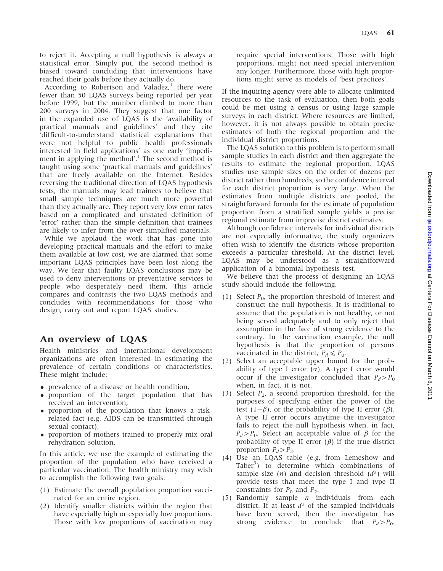to reject it. Accepting a null hypothesis is always a statistical error. Simply put, the second method is biased toward concluding that interventions have reached their goals before they actually do.

According to Robertson and Valadez, $<sup>1</sup>$  there were</sup> fewer than 50 LQAS surveys being reported per year before 1999, but the number climbed to more than 200 surveys in 2004. They suggest that one factor in the expanded use of LQAS is the 'availability of practical manuals and guidelines' and they cite 'difficult-to-understand statistical explanations that were not helpful to public health professionals interested in field applications' as one early 'impediment in applying the method'.<sup>1</sup> The second method is taught using some 'practical manuals and guidelines' that are freely available on the Internet. Besides reversing the traditional direction of LQAS hypothesis tests, the manuals may lead trainees to believe that small sample techniques are much more powerful than they actually are. They report very low error rates based on a complicated and unstated definition of 'error' rather than the simple definition that trainees are likely to infer from the over-simplified materials.

While we applaud the work that has gone into developing practical manuals and the effort to make them available at low cost, we are alarmed that some important LQAS principles have been lost along the way. We fear that faulty LQAS conclusions may be used to deny interventions or preventative services to people who desperately need them. This article compares and contrasts the two LQAS methods and concludes with recommendations for those who design, carry out and report LQAS studies.

## An overview of LQAS

Health ministries and international development organizations are often interested in estimating the prevalence of certain conditions or characteristics. These might include:

- prevalence of a disease or health condition,
- $\bullet$  proportion of the target population that has received an intervention,
- proportion of the population that knows a riskrelated fact (e.g. AIDS can be transmitted through sexual contact),
- proportion of mothers trained to properly mix oral rehydration solution.

In this article, we use the example of estimating the proportion of the population who have received a particular vaccination. The health ministry may wish to accomplish the following two goals.

- (1) Estimate the overall population proportion vaccinated for an entire region.
- (2) Identify smaller districts within the region that have especially high or especially low proportions. Those with low proportions of vaccination may

require special interventions. Those with high proportions, might not need special intervention any longer. Furthermore, those with high proportions might serve as models of 'best practices'.

If the inquiring agency were able to allocate unlimited resources to the task of evaluation, then both goals could be met using a census or using large sample surveys in each district. Where resources are limited, however, it is not always possible to obtain precise estimates of both the regional proportion and the individual district proportions.

The LQAS solution to this problem is to perform small sample studies in each district and then aggregate the results to estimate the regional proportion. LQAS studies use sample sizes on the order of dozens per district rather than hundreds, so the confidence interval for each district proportion is very large. When the estimates from multiple districts are pooled, the straightforward formula for the estimate of population proportion from a stratified sample yields a precise regional estimate from imprecise district estimates.

Although confidence intervals for individual districts are not especially informative, the study organizers often wish to identify the districts whose proportion exceeds a particular threshold. At the district level, LQAS may be understood as a straightforward application of a binomial hypothesis test.

We believe that the process of designing an LQAS study should include the following.

- (1) Select  $P_0$ , the proportion threshold of interest and construct the null hypothesis. It is traditional to assume that the population is not healthy, or not being served adequately and to only reject that assumption in the face of strong evidence to the contrary. In the vaccination example, the null hypothesis is that the proportion of persons vaccinated in the district,  $P_d \leq P_0$ .
- (2) Select an acceptable upper bound for the probability of type I error  $(\alpha)$ . A type I error would occur if the investigator concluded that  $P_d > P_0$ when, in fact, it is not.
- (3) Select  $P_2$ , a second proportion threshold, for the purposes of specifying either the power of the test  $(1-\beta)$ , or the probability of type II error  $(\beta)$ . A type II error occurs anytime the investigator fails to reject the null hypothesis when, in fact,  $P_d > P_0$ . Select an acceptable value of  $\beta$  for the probability of type II error  $(\beta)$  if the true district proportion  $P_d > P_2$ .
- (4) Use an LQAS table (e.g. from Lemeshow and Taber<sup>3</sup>) to determine which combinations of sample size  $(n)$  and decision threshold  $(d^*)$  will provide tests that meet the type I and type II constraints for  $P_0$  and  $P_2$ .
- (5) Randomly sample  $n$  individuals from each district. If at least  $d^*$  of the sampled individuals have been served, then the investigator has strong evidence to conclude that  $P_d > P_0$ .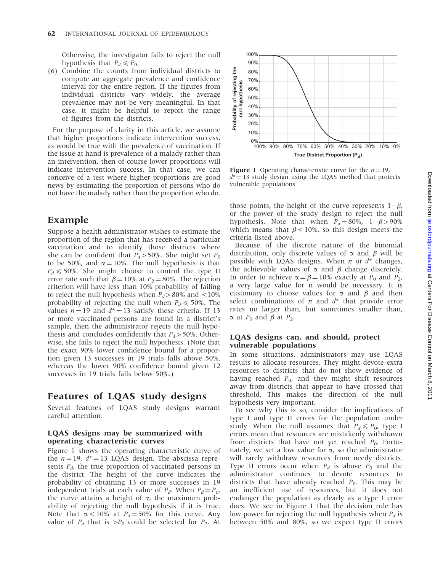Otherwise, the investigator fails to reject the null hypothesis that  $P_d \leq P_0$ .

(6) Combine the counts from individual districts to compute an aggregate prevalence and confidence interval for the entire region. If the figures from individual districts vary widely, the average prevalence may not be very meaningful. In that case, it might be helpful to report the range of figures from the districts.

For the purpose of clarity in this article, we assume that higher proportions indicate intervention success, as would be true with the prevalence of vaccination. If the issue at hand is prevalence of a malady rather than an intervention, then of course lower proportions will indicate intervention success. In that case, we can conceive of a test where higher proportions are good news by estimating the proportion of persons who do not have the malady rather than the proportion who do.

### Example

Suppose a health administrator wishes to estimate the proportion of the region that has received a particular vaccination and to identify those districts where she can be confident that  $P_d > 50\%$ . She might set  $P_0$ to be 50%, and  $\alpha = 10\%$ . The null hypothesis is that  $P_d \leq 50\%$ . She might choose to control the type II error rate such that  $\beta = 10\%$  at  $P_2 = 80\%$ . The rejection criterion will have less than 10% probability of failing to reject the null hypothesis when  $P_d > 80\%$  and  $\lt 10\%$ probability of rejecting the null when  $P_d \leq 50\%$ . The values  $n = 19$  and  $d^* = 13$  satisfy these criteria. If 13 or more vaccinated persons are found in a district's sample, then the administrator rejects the null hypothesis and concludes confidently that  $P_d > 50\%$ . Otherwise, she fails to reject the null hypothesis. (Note that the exact 90% lower confidence bound for a proportion given 13 successes in 19 trials falls above 50%, whereas the lower 90% confidence bound given 12 successes in 19 trials falls below 50%.)

### Features of LQAS study designs

Several features of LQAS study designs warrant careful attention.

#### LQAS designs may be summarized with operating characteristic curves

Figure 1 shows the operating characteristic curve of the  $n = 19$ ,  $d^* = 13$  LQAS design. The abscissa represents  $P_d$ , the true proportion of vaccinated persons in the district. The height of the curve indicates the probability of obtaining 13 or more successes in 19 independent trials at each value of  $P_d$ . When  $P_d = P_0$ , the curve attains a height of  $\alpha$ , the maximum probability of rejecting the null hypothesis if it is true. Note that  $\alpha$  < 10% at P<sub>d</sub> = 50% for this curve. Any value of  $P_d$  that is  $\gt P_0$  could be selected for  $P_2$ . At



**Figure 1** Operating characteristic curve for the  $n = 19$ ,  $d^* = 13$  study design using the LQAS method that protects vulnerable populations

those points, the height of the curve represents  $1-\beta$ , or the power of the study design to reject the null hypothesis. Note that when  $P_d = 80\%$ ,  $1 - \beta > 90\%$ which means that  $\beta$  < 10%, so this design meets the criteria listed above.

Because of the discrete nature of the binomial distribution, only discrete values of  $\alpha$  and  $\beta$  will be possible with LQAS designs. When  $n$  or  $d^*$  changes, the achievable values of  $\alpha$  and  $\beta$  change discretely. In order to achieve  $\alpha = \beta = 10\%$  exactly at  $P_0$  and  $P_2$ , a very large value for n would be necessary. It is customary to choose values for  $\alpha$  and  $\beta$  and then select combinations of  $n$  and  $d^*$  that provide error rates no larger than, but sometimes smaller than,  $\alpha$  at  $P_0$  and  $\beta$  at  $P_2$ .

#### LQAS designs can, and should, protect vulnerable populations

In some situations, administrators may use LQAS results to allocate resources. They might devote extra resources to districts that do not show evidence of having reached  $P_0$ , and they might shift resources away from districts that appear to have crossed that threshold. This makes the direction of the null hypothesis very important.

To see why this is so, consider the implications of type I and type II errors for the population under study. When the null assumes that  $P_d \le P_0$ , type I errors mean that resources are mistakenly withdrawn from districts that have not yet reached  $P_0$ . Fortunately, we set a low value for  $\alpha$ , so the administrator will rarely withdraw resources from needy districts. Type II errors occur when  $P_d$  is above  $P_0$  and the administrator continues to devote resources to districts that have already reached  $P_0$ . This may be an inefficient use of resources, but it does not endanger the population as clearly as a type I error does. We see in Figure 1 that the decision rule has low power for rejecting the null hypothesis when  $P_d$  is between 50% and 80%, so we expect type II errors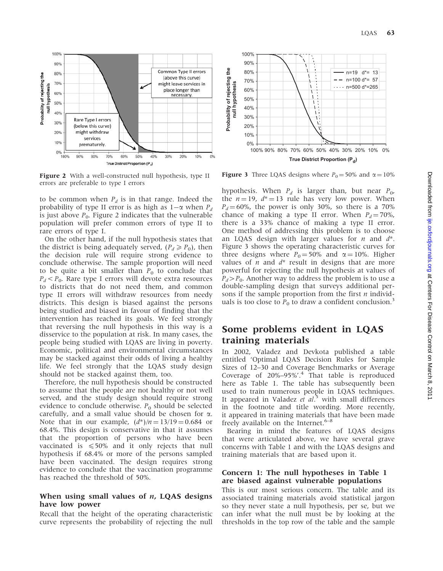

Figure 2 With a well-constructed null hypothesis, type II errors are preferable to type I errors

to be common when  $P_d$  is in that range. Indeed the probability of type II error is as high as  $1-\alpha$  when  $P_d$ is just above  $P_0$ . Figure 2 indicates that the vulnerable population will prefer common errors of type II to rare errors of type I.

On the other hand, if the null hypothesis states that the district is being adequately served,  $(P_d \ge P_0)$ , then the decision rule will require strong evidence to conclude otherwise. The sample proportion will need to be quite a bit smaller than  $P_0$  to conclude that  $P_d$  <  $P_0$ . Rare type I errors will devote extra resources to districts that do not need them, and common type II errors will withdraw resources from needy districts. This design is biased against the persons being studied and biased in favour of finding that the intervention has reached its goals. We feel strongly that reversing the null hypothesis in this way is a disservice to the population at risk. In many cases, the people being studied with LQAS are living in poverty. Economic, political and environmental circumstances may be stacked against their odds of living a healthy life. We feel strongly that the LQAS study design should not be stacked against them, too.

Therefore, the null hypothesis should be constructed to assume that the people are not healthy or not well served, and the study design should require strong evidence to conclude otherwise.  $P_0$  should be selected carefully, and a small value should be chosen for  $\alpha$ . Note that in our example,  $(d^*)/n = 13/19 = 0.684$  or 68.4%. This design is conservative in that it assumes that the proportion of persons who have been vaccinated is  $\leq 50\%$  and it only rejects that null hypothesis if 68.4% or more of the persons sampled have been vaccinated. The design requires strong evidence to conclude that the vaccination programme has reached the threshold of 50%.

#### When using small values of  $n$ , LQAS designs have low power

Recall that the height of the operating characteristic curve represents the probability of rejecting the null



**Figure 3** Three LQAS designs where  $P_0 = 50\%$  and  $\alpha = 10\%$ 

hypothesis. When  $P_d$  is larger than, but near  $P_0$ , the  $n = 19$ ,  $d^* = 13$  rule has very low power. When  $P_d = 60\%$ , the power is only 30%, so there is a 70% chance of making a type II error. When  $P_d = 70\%$ , there is a 33% chance of making a type II error. One method of addressing this problem is to choose an LQAS design with larger values for  $n$  and  $d^*$ . Figure 3 shows the operating characteristic curves for three designs where  $P_0 = 50\%$  and  $\alpha = 10\%$ . Higher values of  $n$  and  $d^*$  result in designs that are more powerful for rejecting the null hypothesis at values of  $P_d > P_0$ . Another way to address the problem is to use a double-sampling design that surveys additional persons if the sample proportion from the first  $n$  individuals is too close to  $P_0$  to draw a confident conclusion.<sup>3</sup>

## Some problems evident in LQAS training materials

In 2002, Valadez and Devkota published a table entitled 'Optimal LQAS Decision Rules for Sample Sizes of 12–30 and Coverage Benchmarks or Average Coverage of 20%–95%'.<sup>4</sup> That table is reproduced here as Table 1. The table has subsequently been used to train numerous people in LQAS techniques. It appeared in Valadez  $e\overline{t}$  al.<sup>5</sup> with small differences in the footnote and title wording. More recently, it appeared in training materials that have been made freely available on the Internet. $6-8$ 

Bearing in mind the features of LQAS designs that were articulated above, we have several grave concerns with Table 1 and with the LQAS designs and training materials that are based upon it.

#### Concern 1: The null hypotheses in Table 1 are biased against vulnerable populations

This is our most serious concern. The table and its associated training materials avoid statistical jargon so they never state a null hypothesis, per se, but we can infer what the null must be by looking at the thresholds in the top row of the table and the sample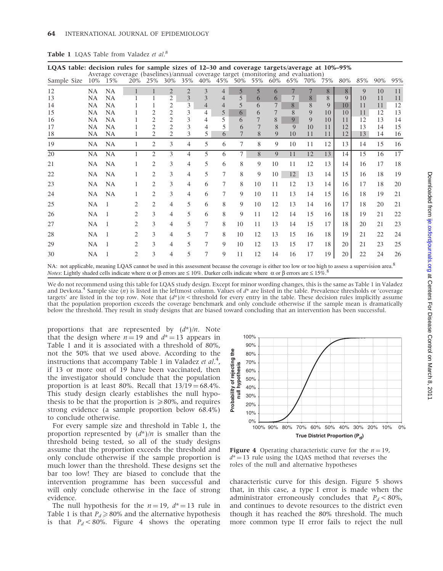| LQAS table: decision rules for sample sizes of 12–30 and coverage targets/average at $10\%$ –95%<br>Average coverage (baselines)/annual coverage target (monitoring and evaluation) |           |           |     |                |                |                |                |                |                     |    |                |                |    |                |             |     |     |        |
|-------------------------------------------------------------------------------------------------------------------------------------------------------------------------------------|-----------|-----------|-----|----------------|----------------|----------------|----------------|----------------|---------------------|----|----------------|----------------|----|----------------|-------------|-----|-----|--------|
| Sample Size                                                                                                                                                                         |           | 10% 15%   | 20% | 25%            |                | 30% 35%        |                |                | 40\% 45\% 50\% 55\% |    | 60%            | 65%            |    |                | 70% 75% 80% | 85% | 90% | 95%    |
|                                                                                                                                                                                     |           |           |     |                |                |                |                |                |                     |    |                |                |    |                |             |     |     |        |
| 12                                                                                                                                                                                  | <b>NA</b> | <b>NA</b> |     |                | $\overline{2}$ | $\overline{c}$ | 3              | $\overline{4}$ | 5                   | 5  | 6              |                |    | 8              | 8           | 9   | 10  | 11     |
| 13                                                                                                                                                                                  | <b>NA</b> | <b>NA</b> |     |                | $\overline{2}$ | 3              |                | $\overline{4}$ | 5                   | 6  | 6              | $\overline{7}$ | 8  | $\overline{8}$ | $\mathbf Q$ | 10  | 11  | 11     |
| 14                                                                                                                                                                                  | <b>NA</b> | <b>NA</b> |     |                | $\overline{2}$ | 3              | 4              | 4              | $\overline{5}$      | 6  | $\overline{7}$ | 8              | 8  | $\mathbf Q$    | 10          | 11  | 11  | 12     |
| 15                                                                                                                                                                                  | <b>NA</b> | NA        |     | 2              | $\overline{c}$ | 3              | 4              | 5              | 6                   | 6  | 7              | 8              | 9  | 10             | 10          | 11  | 12  | 13     |
| 16                                                                                                                                                                                  | <b>NA</b> | <b>NA</b> |     | $\overline{c}$ | $\overline{2}$ | 3              | 4              | 5              | 6                   |    | 8              | 9              | 9  | 10             | 11          | 12  | 13  | 14     |
| 17                                                                                                                                                                                  | <b>NA</b> | NA        |     | $\mathfrak{D}$ | $\overline{c}$ | 3              | 4              | 5              | 6                   |    | 8              | 9              | 10 | 11             | 12          | 13  | 14  | 15     |
| 18                                                                                                                                                                                  | <b>NA</b> | <b>NA</b> |     | $\overline{2}$ | $\overline{2}$ | 3              | 5              | 6              |                     | 8  | 9              | 10             | 11 | 11             | 12          | 13  | 14  | 16     |
| 19                                                                                                                                                                                  | <b>NA</b> | <b>NA</b> | 1   | 2              | 3              | $\overline{4}$ | 5              | 6              | 7                   | 8  | 9              | 10             | 11 | 12             | 13          | 14  | 15  | 16     |
| 20                                                                                                                                                                                  | <b>NA</b> | <b>NA</b> | 1   | 2              | 3              | 4              | $\overline{5}$ | 6              | 7                   | 8  | 9              | 11             | 12 | 13             | 14          | 15  | 16  | 17     |
| 21                                                                                                                                                                                  | <b>NA</b> | <b>NA</b> |     | 2              | 3              | 4              | 5              | 6              | 8                   | 9  | 10             | 11             | 12 | 13             | 14          | 16  | 17  | 18     |
| 22                                                                                                                                                                                  | <b>NA</b> | <b>NA</b> |     | 2              | 3              | 4              | 5              | 7              | 8                   | 9  | 10             | 12             | 13 | 14             | 15          | 16  | 18  | 19     |
| 23                                                                                                                                                                                  | <b>NA</b> | <b>NA</b> |     | $\overline{c}$ | 3              | 4              | 6              | 7              | 8                   | 10 | 11             | 12             | 13 | 14             | 16          | 17  | 18  | 20     |
| 24                                                                                                                                                                                  | <b>NA</b> | <b>NA</b> |     | 2              | 3              | 4              | 6              | 7              | 9                   | 10 | 11             | 13             | 14 | 1.5            | 16          | 18  | 19  | 21     |
| 25                                                                                                                                                                                  | <b>NA</b> |           |     | 2              | 4              | 5              | 6              | 8              | 9                   | 10 | 12             | 13             | 14 | 16             | 17          | 18  | 20  | 21     |
| 26                                                                                                                                                                                  | <b>NA</b> |           | 2   | 3              | 4              | 5              | 6              | 8              | 9                   | 11 | 12             | 14             | 15 | 16             | 18          | 19  | 21  | 22     |
| 27                                                                                                                                                                                  | <b>NA</b> |           | 2.  | 3              | 4              | 5              | $\tau$         | 8              | 10                  | 11 | 13             | 14             | 15 | 17             | 18          | 20  | 21  | 23     |
| 28                                                                                                                                                                                  | <b>NA</b> |           | 2   | 3              | 4              | 5              | 7              | 8              | 10                  | 12 | 13             | 15             | 16 | 18             | 19          | 21  | 22  | 24     |
| 29                                                                                                                                                                                  | <b>NA</b> |           | 2   | 3              | 4              | 5              | 7              | 9              | 10                  | 12 | 13             | 15             | 17 | 18             | 20          | 21  | 23  | 25     |
| 30                                                                                                                                                                                  | NA        |           | 2   | 3              | 4              | 5              | 7              | 9              | 11                  | 12 | 14             | 16             | 17 | 19             | 20          | 22  | 24  | $26\,$ |
|                                                                                                                                                                                     |           |           |     |                |                |                |                |                |                     |    |                |                |    |                |             |     |     |        |

|  |  |  |  |  | Table 1 LQAS Table from Valadez et al. <sup>8</sup> |  |  |
|--|--|--|--|--|-----------------------------------------------------|--|--|
|--|--|--|--|--|-----------------------------------------------------|--|--|

NA: not applicable, meaning LQAS cannot be used in this assessment because the coverage is either too low or too high to assess a supervision area.<sup>8</sup> *Notes*: Lightly shaded cells indicate where α or β errors are  $\leq 10\%$ . Darker cells indicate where α or β errors are  $\leq 15\%$ .<sup>8</sup>

We do not recommend using this table for LQAS study design. Except for minor wording changes, this is the same as Table 1 in Valadez and Devkota.<sup>4</sup> Sample size  $(n)$  is listed in the leftmost column. Values of  $d^*$  are listed in the table. Prevalence thresholds or 'coverage targets' are listed in the top row. Note that  $(d^*)/n <$  threshold for every entry in the table. These decision rules implicitly assume that the population proportion exceeds the coverage benchmark and only conclude otherwise if the sample mean is dramatically below the threshold. They result in study designs that are biased toward concluding that an intervention has been successful.

proportions that are represented by  $(d^*)/n$ . Note that the design where  $n = 19$  and  $d^* = 13$  appears in Table 1 and it is associated with a threshold of 80%, not the 50% that we used above. According to the instructions that accompany Table 1 in Valadez et  $al.4$ , if 13 or more out of 19 have been vaccinated, then the investigator should conclude that the population proportion is at least 80%. Recall that  $13/19 = 68.4\%$ . This study design clearly establishes the null hypothesis to be that the proportion is  $\geq 80\%$ , and requires strong evidence (a sample proportion below 68.4%) to conclude otherwise.

For every sample size and threshold in Table 1, the proportion represented by  $(d^*)/n$  is smaller than the threshold being tested, so all of the study designs assume that the proportion exceeds the threshold and only conclude otherwise if the sample proportion is much lower than the threshold. These designs set the bar too low! They are biased to conclude that the intervention programme has been successful and will only conclude otherwise in the face of strong evidence.

The null hypothesis for the  $n = 19$ ,  $d^* = 13$  rule in Table 1 is that  $P_d \ge 80\%$  and the alternative hypothesis is that  $P_d < 80\%$ . Figure 4 shows the operating



**Figure 4** Operating characteristic curve for the  $n = 19$ ,  $d^* = 13$  rule using the LQAS method that reverses the roles of the null and alternative hypotheses

characteristic curve for this design. Figure 5 shows that, in this case, a type I error is made when the administrator erroneously concludes that  $P_d < 80\%$ , and continues to devote resources to the district even though it has reached the 80% threshold. The much more common type II error fails to reject the null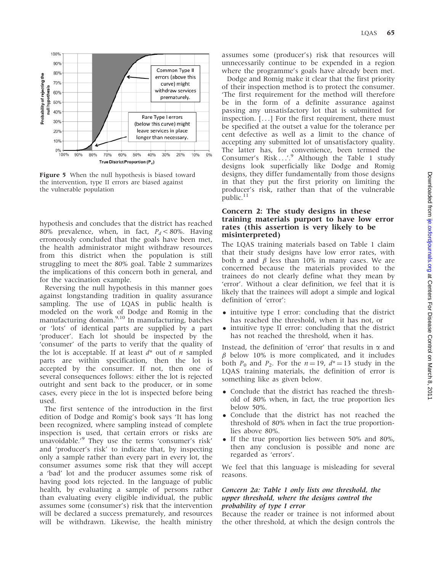

Figure 5 When the null hypothesis is biased toward the intervention, type II errors are biased against the vulnerable population

hypothesis and concludes that the district has reached 80% prevalence, when, in fact,  $P_d < 80\%$ . Having erroneously concluded that the goals have been met, the health administrator might withdraw resources from this district when the population is still struggling to meet the 80% goal. Table 2 summarizes the implications of this concern both in general, and for the vaccination example.

Reversing the null hypothesis in this manner goes against longstanding tradition in quality assurance sampling. The use of LQAS in public health is modeled on the work of Dodge and Romig in the manufacturing domain.<sup>9,10</sup> In manufacturing, batches or 'lots' of identical parts are supplied by a part 'producer'. Each lot should be inspected by the 'consumer' of the parts to verify that the quality of the lot is acceptable. If at least  $d^*$  out of *n* sampled parts are within specification, then the lot is accepted by the consumer. If not, then one of several consequences follows: either the lot is rejected outright and sent back to the producer, or in some cases, every piece in the lot is inspected before being used.

The first sentence of the introduction in the first edition of Dodge and Romig's book says 'It has long been recognized, where sampling instead of complete inspection is used, that certain errors or risks are unavoidable.'<sup>9</sup> They use the terms 'consumer's risk' and 'producer's risk' to indicate that, by inspecting only a sample rather than every part in every lot, the consumer assumes some risk that they will accept a 'bad' lot and the producer assumes some risk of having good lots rejected. In the language of public health, by evaluating a sample of persons rather than evaluating every eligible individual, the public assumes some (consumer's) risk that the intervention will be declared a success prematurely, and resources will be withdrawn. Likewise, the health ministry assumes some (producer's) risk that resources will unnecessarily continue to be expended in a region where the programme's goals have already been met.

Dodge and Romig make it clear that the first priority of their inspection method is to protect the consumer. 'The first requirement for the method will therefore be in the form of a definite assurance against passing any unsatisfactory lot that is submitted for inspection. [...] For the first requirement, there must be specified at the outset a value for the tolerance per cent defective as well as a limit to the chance of accepting any submitted lot of unsatisfactory quality. The latter has, for convenience, been termed the Consumer's Risk ...'.<sup>9</sup> Although the Table 1 study designs look superficially like Dodge and Romig designs, they differ fundamentally from those designs in that they put the first priority on limiting the producer's risk, rather than that of the vulnerable public. $11$ 

#### Concern 2: The study designs in these training materials purport to have low error rates (this assertion is very likely to be misinterpreted)

The LQAS training materials based on Table 1 claim that their study designs have low error rates, with both  $\alpha$  and  $\beta$  less than 10% in many cases. We are concerned because the materials provided to the trainees do not clearly define what they mean by 'error'. Without a clear definition, we feel that it is likely that the trainees will adopt a simple and logical definition of 'error':

- intuitive type I error: concluding that the district has reached the threshold, when it has not, or
- $\bullet$  intuitive type II error: concluding that the district has not reached the threshold, when it has.

Instead, the definition of 'error' that results in  $\alpha$  and  $\beta$  below 10% is more complicated, and it includes both  $P_0$  and  $P_2$ . For the  $n = 19$ ,  $d^* = 13$  study in the LQAS training materials, the definition of error is something like as given below.

- Conclude that the district has reached the threshold of 80% when, in fact, the true proportion lies below 50%.
- $\bullet$  Conclude that the district has not reached the threshold of 80% when in fact the true proportionlies above 80%.
- If the true proportion lies between 50% and 80%, then any conclusion is possible and none are regarded as 'errors'.

We feel that this language is misleading for several reasons.

#### Concern 2a: Table 1 only lists one threshold, the upper threshold, where the designs control the probability of type I error

Because the reader or trainee is not informed about the other threshold, at which the design controls the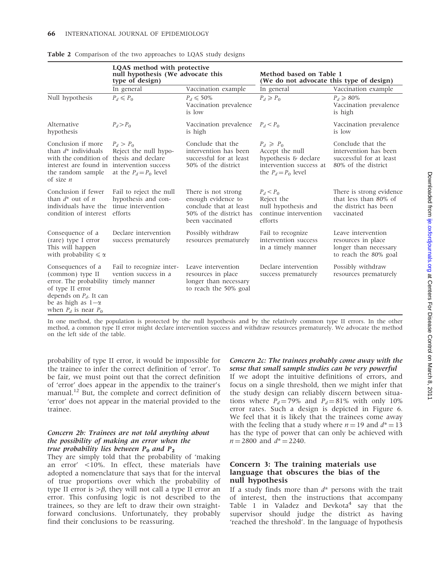|                                                                                                                                                                          | LQAS method with protective<br>null hypothesis (We advocate this<br>type of design)    |                                                                                                                   | Method based on Table 1<br>(We do not advocate this type of design)                                                |                                                                                              |  |  |  |
|--------------------------------------------------------------------------------------------------------------------------------------------------------------------------|----------------------------------------------------------------------------------------|-------------------------------------------------------------------------------------------------------------------|--------------------------------------------------------------------------------------------------------------------|----------------------------------------------------------------------------------------------|--|--|--|
|                                                                                                                                                                          | In general                                                                             | Vaccination example                                                                                               | In general                                                                                                         | Vaccination example                                                                          |  |  |  |
| Null hypothesis                                                                                                                                                          | $P_d \leq P_0$                                                                         | $P_d \leqslant 50\%$<br>Vaccination prevalence<br>is low                                                          | $P_d \ge P_0$                                                                                                      | $P_d \ge 80\%$<br>Vaccination prevalence<br>is high                                          |  |  |  |
| Alternative<br>hypothesis                                                                                                                                                | $P_d > P_0$                                                                            | Vaccination prevalence<br>is high                                                                                 | $P_d < P_0$                                                                                                        | Vaccination prevalence<br>is low                                                             |  |  |  |
| Conclusion if more<br>than $d^*$ individuals<br>with the condition of<br>interest are found in intervention success<br>the random sample<br>of size $n$                  | $P_d > P_0$<br>Reject the null hypo-<br>thesis and declare<br>at the $P_d = P_0$ level | Conclude that the<br>intervention has been<br>successful for at least<br>50% of the district                      | $P_d \geqslant P_0$<br>Accept the null<br>hypothesis & declare<br>intervention success at<br>the $P_d = P_0$ level | Conclude that the<br>intervention has been<br>successful for at least<br>80% of the district |  |  |  |
| Conclusion if fewer<br>than $d^*$ out of n<br>individuals have the<br>condition of interest                                                                              | Fail to reject the null<br>hypothesis and con-<br>tinue intervention<br>efforts        | There is not strong<br>enough evidence to<br>conclude that at least<br>50% of the district has<br>been vaccinated | $P_d < P_0$<br>Reject the<br>null hypothesis and<br>continue intervention<br>efforts                               | There is strong evidence<br>that less than 80% of<br>the district has been<br>vaccinated     |  |  |  |
| Consequence of a<br>(rare) type I error<br>This will happen<br>with probability $\leq \alpha$                                                                            | Declare intervention<br>success prematurely                                            | Possibly withdraw<br>resources prematurely                                                                        | Fail to recognize<br>intervention success<br>in a timely manner                                                    | Leave intervention<br>resources in place<br>longer than necessary<br>to reach the 80% goal   |  |  |  |
| Consequences of a<br>(common) type II<br>error. The probability<br>of type II error<br>depends on $P_d$ . It can<br>be as high as $1-\alpha$<br>when $P_d$ is near $P_0$ | Fail to recognize inter-<br>vention success in a<br>timely manner                      | Leave intervention<br>resources in place<br>longer than necessary<br>to reach the 50% goal                        | Declare intervention<br>success prematurely                                                                        | Possibly withdraw<br>resources prematurely                                                   |  |  |  |

|  |  | Table 2 Comparison of the two approaches to LQAS study designs |  |  |  |  |  |  |  |  |
|--|--|----------------------------------------------------------------|--|--|--|--|--|--|--|--|
|--|--|----------------------------------------------------------------|--|--|--|--|--|--|--|--|

In one method, the population is protected by the null hypothesis and by the relatively common type II errors. In the other method, a common type II error might declare intervention success and withdraw resources prematurely. We advocate the method on the left side of the table.

probability of type II error, it would be impossible for the trainee to infer the correct definition of 'error'. To be fair, we must point out that the correct definition of 'error' does appear in the appendix to the trainer's manual.<sup>12</sup> But, the complete and correct definition of 'error' does not appear in the material provided to the trainee.

#### Concern 2b: Trainees are not told anything about the possibility of making an error when the true probability lies between  $P_0$  and  $P_2$

They are simply told that the probability of 'making an error' <10%. In effect, these materials have adopted a nomenclature that says that for the interval of true proportions over which the probability of type II error is  $>\beta$ , they will not call a type II error an error. This confusing logic is not described to the trainees, so they are left to draw their own straightforward conclusions. Unfortunately, they probably find their conclusions to be reassuring.

#### Concern 2c: The trainees probably come away with the sense that small sample studies can be very powerful

If we adopt the intuitive definitions of errors, and focus on a single threshold, then we might infer that the study design can reliably discern between situations where  $P_d = 79\%$  and  $P_d = 81\%$  with only 10% error rates. Such a design is depicted in Figure 6. We feel that it is likely that the trainees come away with the feeling that a study where  $n = 19$  and  $d^* = 13$ has the type of power that can only be achieved with  $n = 2800$  and  $d^* = 2240$ .

#### Concern 3: The training materials use language that obscures the bias of the null hypothesis

If a study finds more than  $d^*$  persons with the trait of interest, then the instructions that accompany Table 1 in Valadez and Devkota<sup>4</sup> say that the supervisor should judge the district as having 'reached the threshold'. In the language of hypothesis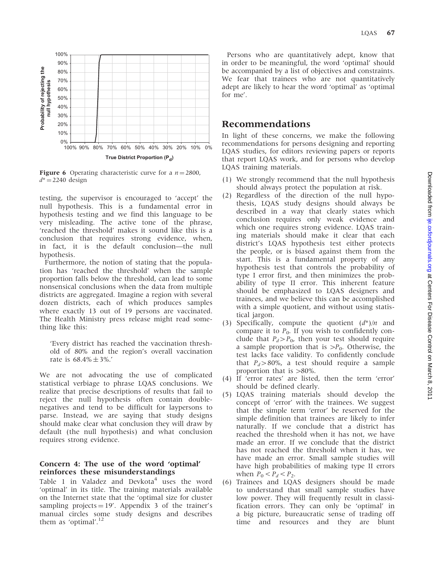

**Figure 6** Operating characteristic curve for a  $n = 2800$ ,  $d^* = 2240$  design

testing, the supervisor is encouraged to 'accept' the null hypothesis. This is a fundamental error in hypothesis testing and we find this language to be very misleading. The active tone of the phrase, 'reached the threshold' makes it sound like this is a conclusion that requires strong evidence, when, in fact, it is the default conclusion—the null hypothesis.

Furthermore, the notion of stating that the population has 'reached the threshold' when the sample proportion falls below the threshold, can lead to some nonsensical conclusions when the data from multiple districts are aggregated. Imagine a region with several dozen districts, each of which produces samples where exactly 13 out of 19 persons are vaccinated. The Health Ministry press release might read something like this:

'Every district has reached the vaccination threshold of 80% and the region's overall vaccination rate is  $68.4\% \pm 3\%$ .

We are not advocating the use of complicated statistical verbiage to phrase LQAS conclusions. We realize that precise descriptions of results that fail to reject the null hypothesis often contain doublenegatives and tend to be difficult for laypersons to parse. Instead, we are saying that study designs should make clear what conclusion they will draw by default (the null hypothesis) and what conclusion requires strong evidence.

#### Concern 4: The use of the word 'optimal' reinforces these misunderstandings

Table 1 in Valadez and Devkota<sup>4</sup> uses the word 'optimal' in its title. The training materials available on the Internet state that the 'optimal size for cluster sampling projects  $= 19'$ . Appendix 3 of the trainer's manual circles some study designs and describes them as 'optimal'. $^{12}$ 

Persons who are quantitatively adept, know that in order to be meaningful, the word 'optimal' should be accompanied by a list of objectives and constraints. We fear that trainees who are not quantitatively adept are likely to hear the word 'optimal' as 'optimal for me'.

### Recommendations

In light of these concerns, we make the following recommendations for persons designing and reporting LQAS studies, for editors reviewing papers or reports that report LQAS work, and for persons who develop LQAS training materials.

- (1) We strongly recommend that the null hypothesis should always protect the population at risk.
- (2) Regardless of the direction of the null hypothesis, LQAS study designs should always be described in a way that clearly states which conclusion requires only weak evidence and which one requires strong evidence. LQAS training materials should make it clear that each district's LQAS hypothesis test either protects the people, or is biased against them from the start. This is a fundamental property of any hypothesis test that controls the probability of type I error first, and then minimizes the probability of type II error. This inherent feature should be emphasized to LQAS designers and trainees, and we believe this can be accomplished with a simple quotient, and without using statistical jargon.
- (3) Specifically, compute the quotient  $(d^*)/n$  and compare it to  $P_0$ . If you wish to confidently conclude that  $P_d > P_0$ , then your test should require a sample proportion that is  $>P_0$ . Otherwise, the test lacks face validity. To confidently conclude that  $P_d > 80\%$ , a test should require a sample proportion that is  $>80\%$ .
- (4) If 'error rates' are listed, then the term 'error' should be defined clearly.
- (5) LQAS training materials should develop the concept of 'error' with the trainees. We suggest that the simple term 'error' be reserved for the simple definition that trainees are likely to infer naturally. If we conclude that a district has reached the threshold when it has not, we have made an error. If we conclude that the district has not reached the threshold when it has, we have made an error. Small sample studies will have high probabilities of making type II errors when  $P_0 < P_d < P_2$ .
- (6) Trainees and LQAS designers should be made to understand that small sample studies have low power. They will frequently result in classification errors. They can only be 'optimal' in a big picture, bureaucratic sense of trading off time and resources and they are blunt